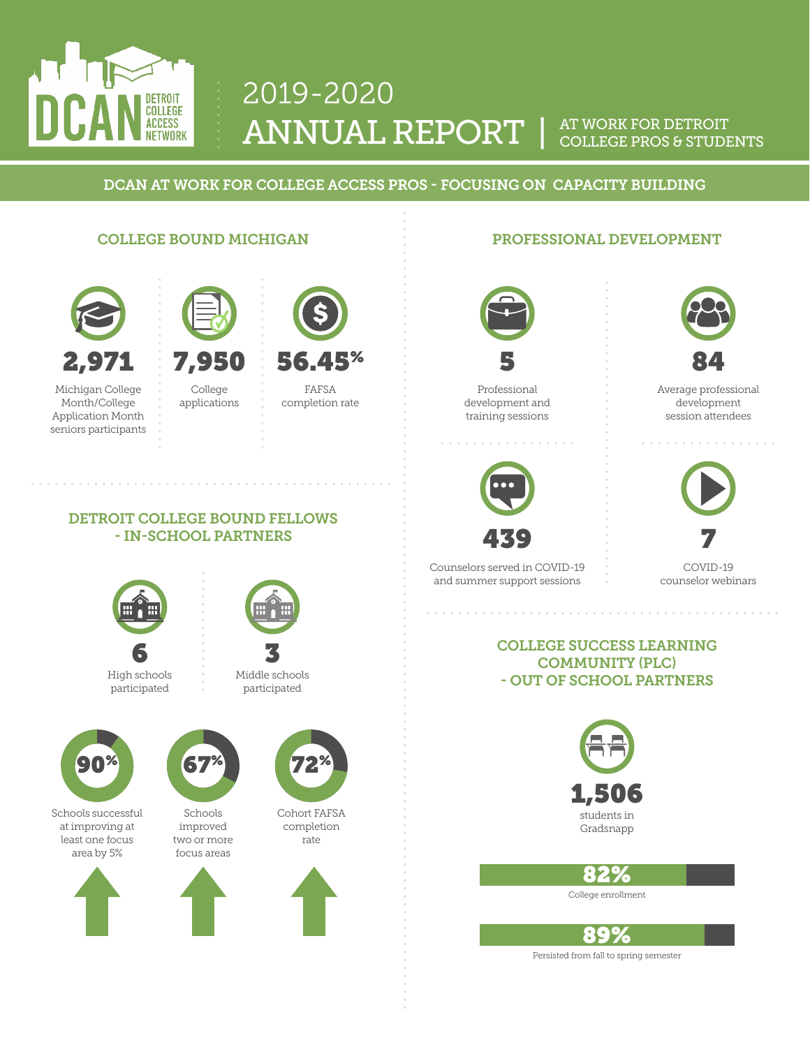

# 2019-2020 ANNUAL REPORT |

#### AT WORK FOR DETROIT COLLEGE PROS & STUDENTS

DCAN AT WORK FOR COLLEGE ACCESS PROS - FOCUSING ON CAPACITY BUILDING

#### COLLEGE BOUND MICHIGAN



Michigan College Month/College Application Month seniors participants 7,950

College applications





FAFSA completion rate

### PROFESSIONAL DEVELOPMENT



Professional development and training sessions



Counselors served in COVID-19 and summer support sessions



Average professional development session attendees



COVID-19 counselor webinars

#### COLLEGE SUCCESS LEARNING COMMUNITY (PLC) - OUT OF SCHOOL PARTNERS



82%

College enrollment



Persisted from fall to spring semester

DETROIT COLLEGE BOUND FELLOWS - IN-SCHOOL PARTNERS







participated



Schools successful at improving at least one focus area by 5%





Schools improved two or more focus areas





Cohort FAFSA completion rate